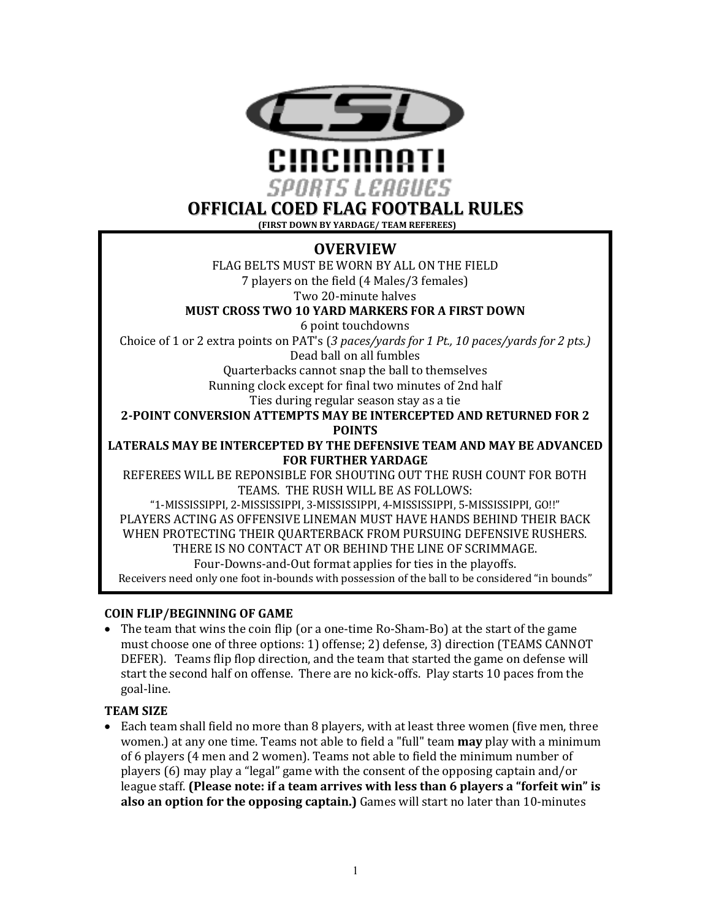

**OFFICIAL COED FLAG FOOTBALL RULES**

**(FIRST DOWN BY YARDAGE/ TEAM REFEREES)** 

# **OVERVIEW**

FLAG BELTS MUST BE WORN BY ALL ON THE FIELD 7 players on the field (4 Males/3 females) Two 20-minute halves

**MUST CROSS TWO 10 YARD MARKERS FOR A FIRST DOWN** 

6 point touchdowns Choice of 1 or 2 extra points on PAT's (3 paces/yards for 1 Pt., 10 paces/yards for 2 pts.)

Dead ball on all fumbles

Quarterbacks cannot snap the ball to themselves

Running clock except for final two minutes of 2nd half

Ties during regular season stay as a tie

**2-POINT CONVERSION ATTEMPTS MAY BE INTERCEPTED AND RETURNED FOR 2** 

**POINTS**

LATERALS MAY BE INTERCEPTED BY THE DEFENSIVE TEAM AND MAY BE ADVANCED **FOR FURTHER YARDAGE** 

REFEREES WILL BE REPONSIBLE FOR SHOUTING OUT THE RUSH COUNT FOR BOTH TEAMS. THE RUSH WILL BE AS FOLLOWS:

"1-MISSISSIPPI, 2-MISSISSIPPI, 3-MISSISSIPPI, 4-MISSISSIPPI, 5-MISSISSIPPI, GO!!" PLAYERS ACTING AS OFFENSIVE LINEMAN MUST HAVE HANDS BEHIND THEIR BACK WHEN PROTECTING THEIR QUARTERBACK FROM PURSUING DEFENSIVE RUSHERS. THERE IS NO CONTACT AT OR BEHIND THE LINE OF SCRIMMAGE. Four-Downs-and-Out format applies for ties in the playoffs. Receivers need only one foot in-bounds with possession of the ball to be considered "in bounds"

## **COIN FLIP/BEGINNING OF GAME**

• The team that wins the coin flip (or a one-time Ro-Sham-Bo) at the start of the game must choose one of three options: 1) offense; 2) defense, 3) direction (TEAMS CANNOT DEFER). Teams flip flop direction, and the team that started the game on defense will start the second half on offense. There are no kick-offs. Play starts 10 paces from the goal-line.

## **TEAM SIZE**

• Each team shall field no more than 8 players, with at least three women (five men, three women.) at any one time. Teams not able to field a "full" team **may** play with a minimum of 6 players (4 men and 2 women). Teams not able to field the minimum number of players (6) may play a "legal" game with the consent of the opposing captain and/or league staff. **(Please note: if a team arrives with less than 6 players a "forfeit win" is also an option for the opposing captain.**) Games will start no later than 10-minutes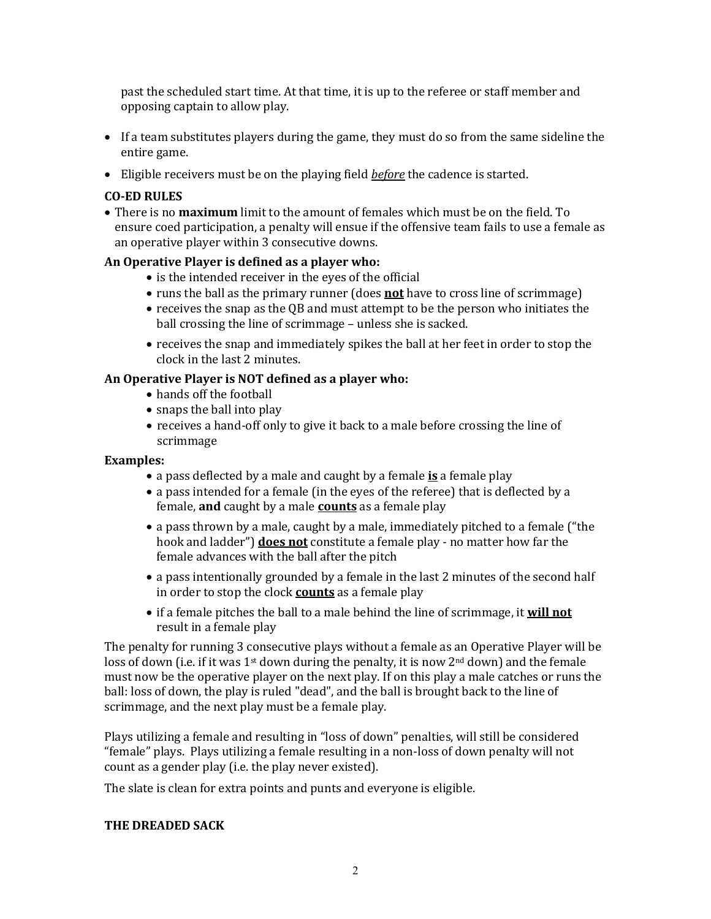past the scheduled start time. At that time, it is up to the referee or staff member and opposing captain to allow play.

- If a team substitutes players during the game, they must do so from the same sideline the entire game.
- Eligible receivers must be on the playing field *before* the cadence is started.

#### **CO-ED RULES**

• There is no **maximum** limit to the amount of females which must be on the field. To ensure coed participation, a penalty will ensue if the offensive team fails to use a female as an operative player within 3 consecutive downs.

### An Operative Player is defined as a player who:

- is the intended receiver in the eyes of the official
- runs the ball as the primary runner (does **not** have to cross line of scrimmage)
- receives the snap as the OB and must attempt to be the person who initiates the ball crossing the line of scrimmage – unless she is sacked.
- $\bullet$  receives the snap and immediately spikes the ball at her feet in order to stop the clock in the last 2 minutes.

### An Operative Player is NOT defined as a player who:

- hands off the football
- $\bullet$  snaps the ball into play
- receives a hand-off only to give it back to a male before crossing the line of scrimmage

#### **Examples:**

- a pass deflected by a male and caught by a female is a female play
- a pass intended for a female (in the eyes of the referee) that is deflected by a female, **and** caught by a male **counts** as a female play
- a pass thrown by a male, caught by a male, immediately pitched to a female ("the hook and ladder") **does not** constitute a female play - no matter how far the female advances with the ball after the pitch
- a pass intentionally grounded by a female in the last 2 minutes of the second half in order to stop the clock **counts** as a female play
- if a female pitches the ball to a male behind the line of scrimmage, it **will not** result in a female play

The penalty for running 3 consecutive plays without a female as an Operative Player will be loss of down (i.e. if it was  $1^{st}$  down during the penalty, it is now  $2^{nd}$  down) and the female must now be the operative player on the next play. If on this play a male catches or runs the ball: loss of down, the play is ruled "dead", and the ball is brought back to the line of scrimmage, and the next play must be a female play.

Plays utilizing a female and resulting in "loss of down" penalties, will still be considered "female" plays. Plays utilizing a female resulting in a non-loss of down penalty will not count as a gender play (i.e. the play never existed).

The slate is clean for extra points and punts and everyone is eligible.

#### **THE DREADED SACK**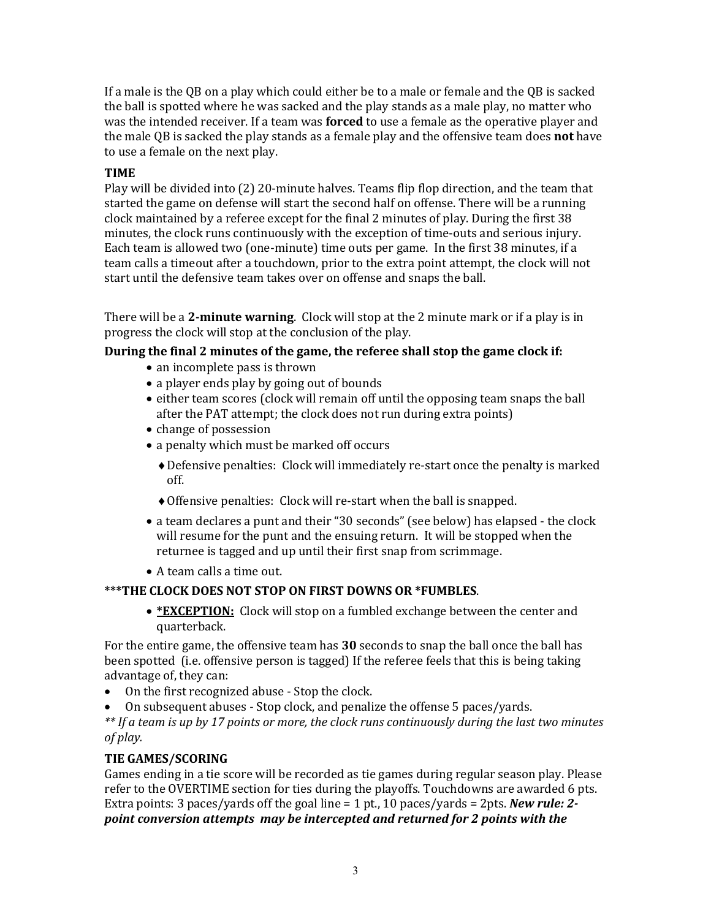If a male is the QB on a play which could either be to a male or female and the QB is sacked the ball is spotted where he was sacked and the play stands as a male play, no matter who was the intended receiver. If a team was **forced** to use a female as the operative player and the male QB is sacked the play stands as a female play and the offensive team does **not** have to use a female on the next play.

## **TIME**

Play will be divided into  $(2)$  20-minute halves. Teams flip flop direction, and the team that started the game on defense will start the second half on offense. There will be a running clock maintained by a referee except for the final 2 minutes of play. During the first 38 minutes, the clock runs continuously with the exception of time-outs and serious injury. Each team is allowed two (one-minute) time outs per game. In the first 38 minutes, if a team calls a timeout after a touchdown, prior to the extra point attempt, the clock will not start until the defensive team takes over on offense and snaps the ball.

There will be a 2-minute warning. Clock will stop at the 2 minute mark or if a play is in progress the clock will stop at the conclusion of the play.

## During the final 2 minutes of the game, the referee shall stop the game clock if:

- an incomplete pass is thrown
- a player ends play by going out of bounds
- either team scores (clock will remain off until the opposing team snaps the ball after the PAT attempt; the clock does not run during extra points)
- change of possession
- a penalty which must be marked off occurs
	- Defensive penalties: Clock will immediately re-start once the penalty is marked off.
	- $\triangle$  Offensive penalties: Clock will re-start when the ball is snapped.
- a team declares a punt and their "30 seconds" (see below) has elapsed the clock will resume for the punt and the ensuing return. It will be stopped when the returnee is tagged and up until their first snap from scrimmage.
- A team calls a time out.

## **\*\*\*THE CLOCK DOES NOT STOP ON FIRST DOWNS OR \*FUMBLES.**

• **\*EXCEPTION:** Clock will stop on a fumbled exchange between the center and quarterback.

For the entire game, the offensive team has **30** seconds to snap the ball once the ball has been spotted (i.e. offensive person is tagged) If the referee feels that this is being taking advantage of, they can:

- On the first recognized abuse Stop the clock.
- On subsequent abuses Stop clock, and penalize the offense 5 paces/yards.

\*\* If a team is up by 17 points or more, the clock runs continuously during the last two minutes *of play.*

## **TIE GAMES/SCORING**

Games ending in a tie score will be recorded as tie games during regular season play. Please refer to the OVERTIME section for ties during the playoffs. Touchdowns are awarded 6 pts. Extra points:  $3$  paces/yards off the goal line  $= 1$  pt.,  $10$  paces/yards  $= 2$ pts. *New rule: 2*point conversion attempts may be intercepted and returned for 2 points with the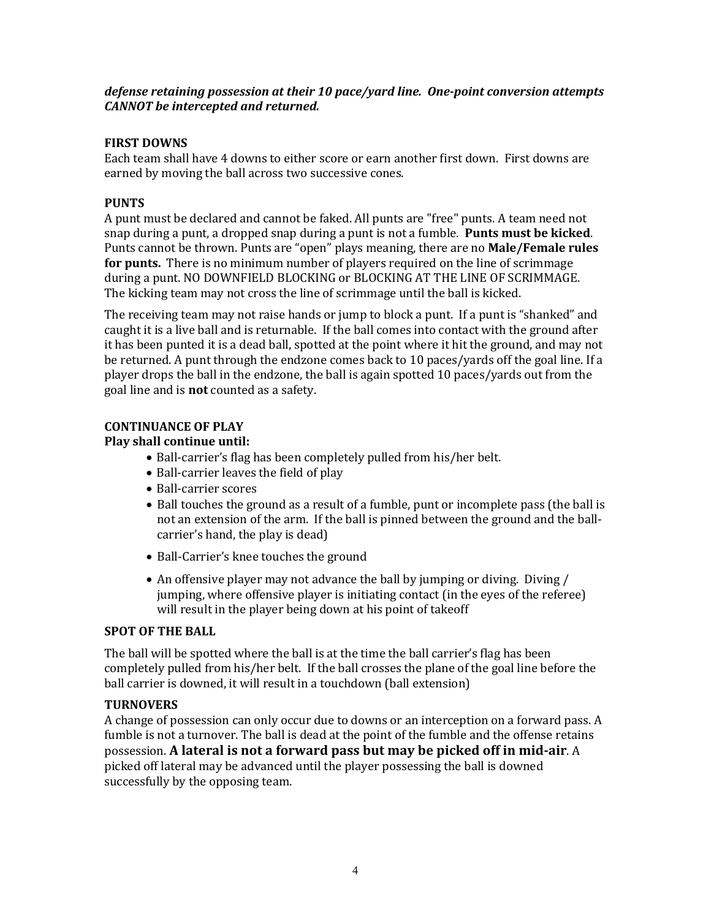### defense retaining possession at their 10 pace/yard line. One-point conversion attempts *CANNOT* be intercepted and returned.

## **FIRST DOWNS**

Each team shall have 4 downs to either score or earn another first down. First downs are earned by moving the ball across two successive cones.

### **PUNTS**

A punt must be declared and cannot be faked. All punts are "free" punts. A team need not snap during a punt, a dropped snap during a punt is not a fumble. **Punts must be kicked**. Punts cannot be thrown. Punts are "open" plays meaning, there are no **Male/Female rules for punts.** There is no minimum number of players required on the line of scrimmage during a punt. NO DOWNFIELD BLOCKING or BLOCKING AT THE LINE OF SCRIMMAGE. The kicking team may not cross the line of scrimmage until the ball is kicked.

The receiving team may not raise hands or jump to block a punt. If a punt is "shanked" and caught it is a live ball and is returnable. If the ball comes into contact with the ground after it has been punted it is a dead ball, spotted at the point where it hit the ground, and may not be returned. A punt through the endzone comes back to 10 paces/yards off the goal line. If a player drops the ball in the endzone, the ball is again spotted 10 paces/yards out from the goal line and is **not** counted as a safety.

# **CONTINUANCE OF PLAY**

### **Play shall continue until:**

- Ball-carrier's flag has been completely pulled from his/her belt.
- Ball-carrier leaves the field of play
- Ball-carrier scores
- Ball touches the ground as a result of a fumble, punt or incomplete pass (the ball is not an extension of the arm. If the ball is pinned between the ground and the ballcarrier's hand, the play is dead)
- Ball-Carrier's knee touches the ground
- An offensive player may not advance the ball by jumping or diving. Diving / jumping, where offensive player is initiating contact (in the eyes of the referee) will result in the player being down at his point of takeoff

## **SPOT OF THE BALL**

The ball will be spotted where the ball is at the time the ball carrier's flag has been completely pulled from his/her belt. If the ball crosses the plane of the goal line before the ball carrier is downed, it will result in a touchdown (ball extension)

## **TURNOVERS**

A change of possession can only occur due to downs or an interception on a forward pass. A fumble is not a turnover. The ball is dead at the point of the fumble and the offense retains possession. **A lateral is not a forward pass but may be picked off in mid-air**. A picked off lateral may be advanced until the player possessing the ball is downed successfully by the opposing team.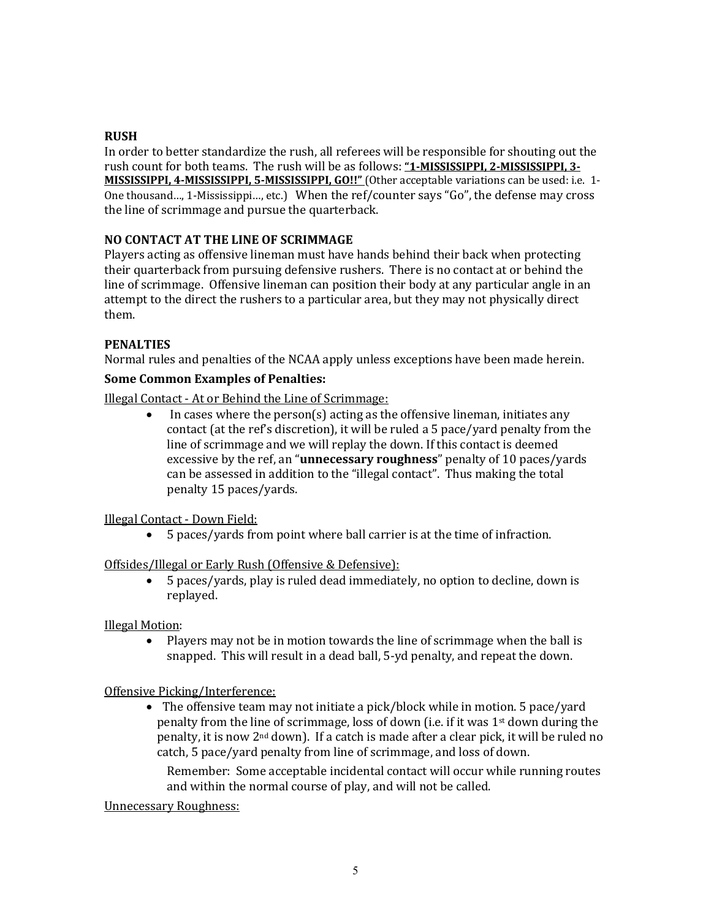### **RUSH**

In order to better standardize the rush, all referees will be responsible for shouting out the rush count for both teams. The rush will be as follows: "1-MISSISSIPPI, 2-MISSISSIPPI, 3-MISSISSIPPI, 4-MISSISSIPPI, 5-MISSISSIPPI, GO!!" (Other acceptable variations can be used: i.e. 1-One thousand..., 1-Mississippi..., etc.) When the ref/counter says "Go", the defense may cross the line of scrimmage and pursue the quarterback.

## **NO CONTACT AT THE LINE OF SCRIMMAGE**

Players acting as offensive lineman must have hands behind their back when protecting their quarterback from pursuing defensive rushers. There is no contact at or behind the line of scrimmage. Offensive lineman can position their body at any particular angle in an attempt to the direct the rushers to a particular area, but they may not physically direct them.

### **PENALTIES**

Normal rules and penalties of the NCAA apply unless exceptions have been made herein.

#### **Some Common Examples of Penalties:**

Illegal Contact - At or Behind the Line of Scrimmage:

In cases where the person(s) acting as the offensive lineman, initiates any contact (at the ref's discretion), it will be ruled a 5 pace/yard penalty from the line of scrimmage and we will replay the down. If this contact is deemed excessive by the ref, an "**unnecessary roughness**" penalty of 10 paces/yards can be assessed in addition to the "illegal contact". Thus making the total penalty 15 paces/yards. 

#### Illegal Contact - Down Field:

• 5 paces/yards from point where ball carrier is at the time of infraction.

#### Offsides/Illegal or Early Rush (Offensive & Defensive):

• 5 paces/yards, play is ruled dead immediately, no option to decline, down is replayed. 

#### **Illegal Motion:**

• Players may not be in motion towards the line of scrimmage when the ball is snapped. This will result in a dead ball, 5-yd penalty, and repeat the down.

#### Offensive Picking/Interference:

• The offensive team may not initiate a pick/block while in motion. 5 pace/yard penalty from the line of scrimmage, loss of down (i.e. if it was  $1<sup>st</sup>$  down during the penalty, it is now  $2<sup>nd</sup>$  down). If a catch is made after a clear pick, it will be ruled no catch, 5 pace/yard penalty from line of scrimmage, and loss of down.

Remember: Some acceptable incidental contact will occur while running routes and within the normal course of play, and will not be called.

Unnecessary Roughness: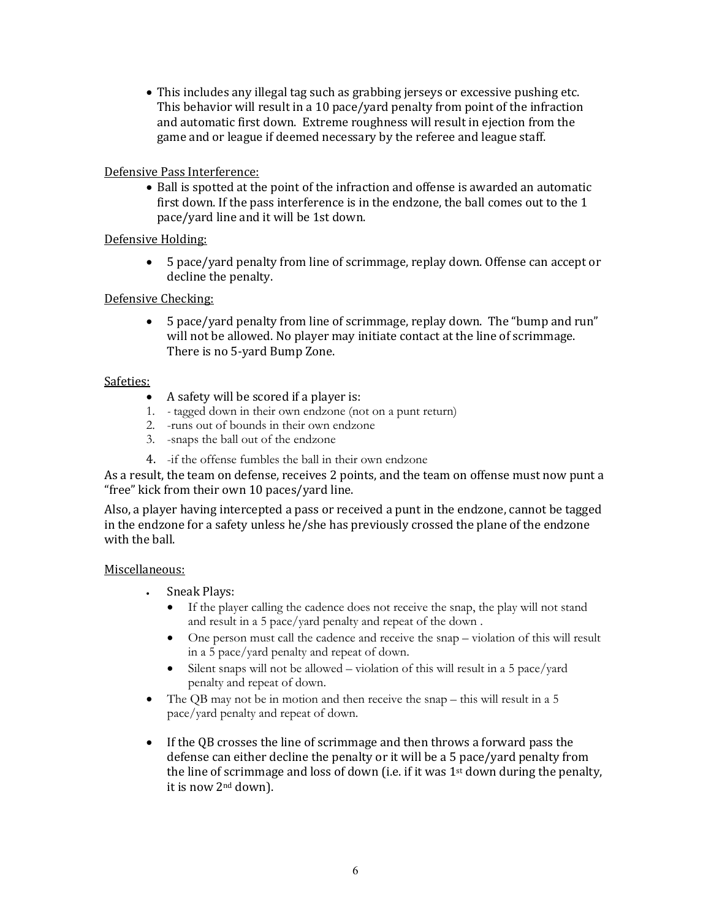• This includes any illegal tag such as grabbing jerseys or excessive pushing etc. This behavior will result in a 10 pace/yard penalty from point of the infraction and automatic first down. Extreme roughness will result in ejection from the game and or league if deemed necessary by the referee and league staff.

## Defensive Pass Interference:

• Ball is spotted at the point of the infraction and offense is awarded an automatic first down. If the pass interference is in the endzone, the ball comes out to the  $1$ pace/yard line and it will be 1st down.

### Defensive Holding:

• 5 pace/yard penalty from line of scrimmage, replay down. Offense can accept or decline the penalty.

### Defensive Checking:

• 5 pace/yard penalty from line of scrimmage, replay down. The "bump and run" will not be allowed. No player may initiate contact at the line of scrimmage. There is no 5-yard Bump Zone.

### Safeties:

- A safety will be scored if a player is:
- 1. *-* tagged down in their own endzone (not on a punt return)
- 2. -runs out of bounds in their own endzone
- 3. -snaps the ball out of the endzone
- 4. -if the offense fumbles the ball in their own endzone

As a result, the team on defense, receives 2 points, and the team on offense must now punt a "free" kick from their own 10 paces/yard line.

Also, a player having intercepted a pass or received a punt in the endzone, cannot be tagged in the endzone for a safety unless he/she has previously crossed the plane of the endzone with the hall.

#### Miscellaneous:

- Sneak Plays:
	- If the player calling the cadence does not receive the snap, the play will not stand and result in a 5 pace/yard penalty and repeat of the down .
	- One person must call the cadence and receive the snap violation of this will result in a 5 pace/yard penalty and repeat of down.
	- Silent snaps will not be allowed violation of this will result in a 5 pace/yard penalty and repeat of down.
- The QB may not be in motion and then receive the snap this will result in a 5 pace/yard penalty and repeat of down.
- If the QB crosses the line of scrimmage and then throws a forward pass the defense can either decline the penalty or it will be a 5 pace/yard penalty from the line of scrimmage and loss of down (i.e. if it was  $1<sup>st</sup>$  down during the penalty, it is now 2<sup>nd</sup> down).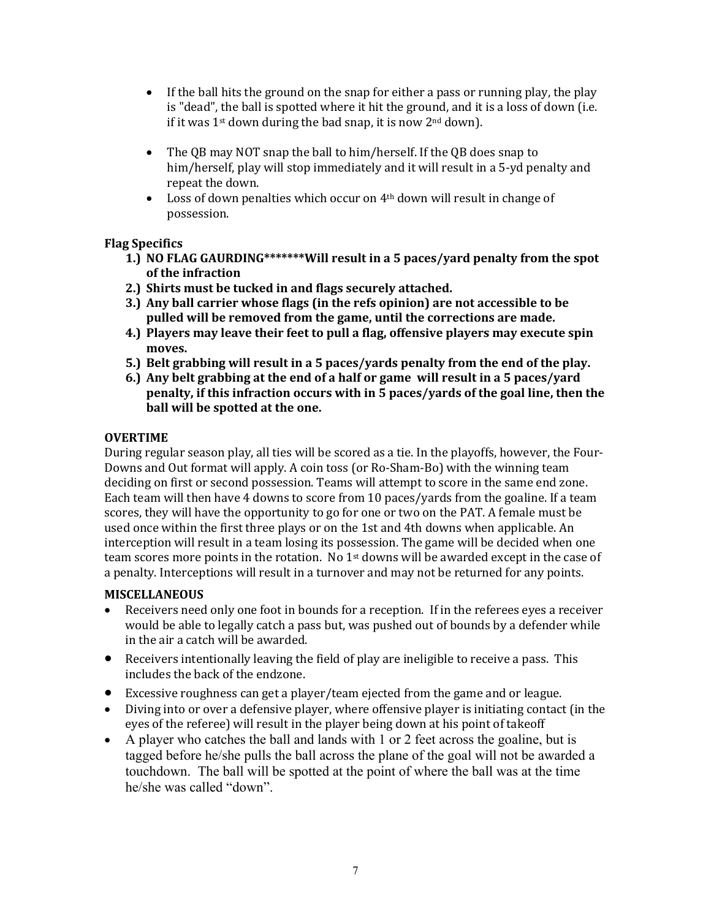- If the ball hits the ground on the snap for either a pass or running play, the play is "dead", the ball is spotted where it hit the ground, and it is a loss of down (i.e. if it was  $1^{st}$  down during the bad snap, it is now  $2^{nd}$  down).
- The QB may NOT snap the ball to him/herself. If the QB does snap to him/herself, play will stop immediately and it will result in a 5-yd penalty and repeat the down.
- Loss of down penalties which occur on 4<sup>th</sup> down will result in change of possession.

# **Flag Specifics**

- **1.)** NO FLAG GAURDING\*\*\*\*\*\*\*Will result in a 5 paces/vard penalty from the spot **of the infraction**
- 2.) Shirts must be tucked in and flags securely attached.
- **3.** Any ball carrier whose flags (in the refs opinion) are not accessible to be pulled will be removed from the game, until the corrections are made.
- **4.**) Players may leave their feet to pull a flag, offensive players may execute spin **moves.**
- **5.)** Belt grabbing will result in a 5 paces/yards penalty from the end of the play.
- **6.)** Any belt grabbing at the end of a half or game will result in a 5 paces/yard **penalty, if this infraction occurs with in 5 paces/yards of the goal line, then the** ball will be spotted at the one.

## **OVERTIME**

During regular season play, all ties will be scored as a tie. In the playoffs, however, the Four-Downs and Out format will apply. A coin toss (or Ro-Sham-Bo) with the winning team deciding on first or second possession. Teams will attempt to score in the same end zone. Each team will then have 4 downs to score from 10 paces/yards from the goaline. If a team scores, they will have the opportunity to go for one or two on the PAT. A female must be used once within the first three plays or on the 1st and 4th downs when applicable. An interception will result in a team losing its possession. The game will be decided when one team scores more points in the rotation. No  $1<sup>st</sup>$  downs will be awarded except in the case of a penalty. Interceptions will result in a turnover and may not be returned for any points.

## **MISCELLANEOUS**

- Receivers need only one foot in bounds for a reception. If in the referees eyes a receiver would be able to legally catch a pass but, was pushed out of bounds by a defender while in the air a catch will be awarded.
- Receivers intentionally leaving the field of play are ineligible to receive a pass. This includes the back of the endzone.
- Excessive roughness can get a player/team ejected from the game and or league.
- Diving into or over a defensive player, where offensive player is initiating contact (in the eyes of the referee) will result in the player being down at his point of takeoff
- A player who catches the ball and lands with 1 or 2 feet across the goaline, but is tagged before he/she pulls the ball across the plane of the goal will not be awarded a touchdown. The ball will be spotted at the point of where the ball was at the time he/she was called "down".